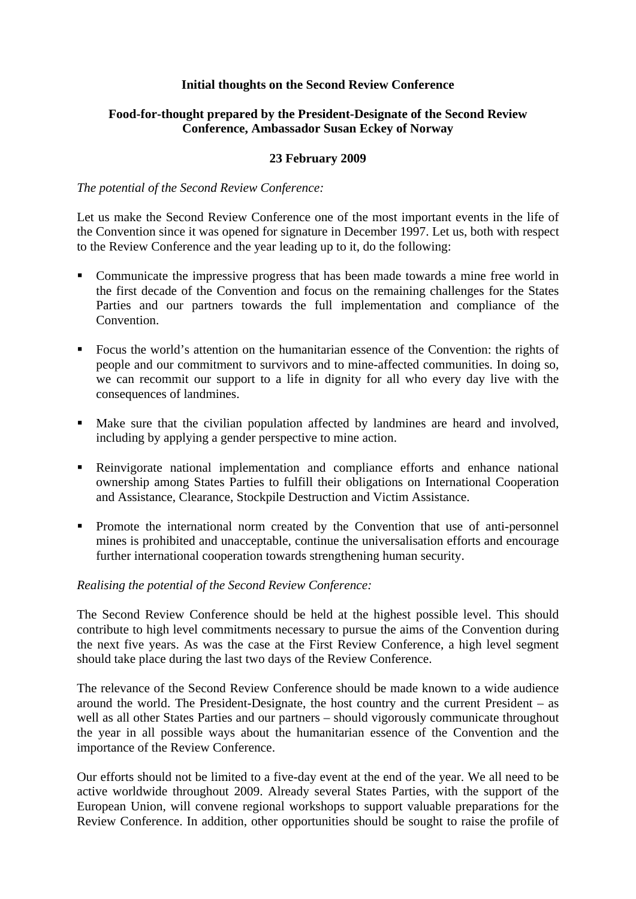## **Initial thoughts on the Second Review Conference**

## **Food-for-thought prepared by the President-Designate of the Second Review Conference, Ambassador Susan Eckey of Norway**

#### **23 February 2009**

#### *The potential of the Second Review Conference:*

Let us make the Second Review Conference one of the most important events in the life of the Convention since it was opened for signature in December 1997. Let us, both with respect to the Review Conference and the year leading up to it, do the following:

- Communicate the impressive progress that has been made towards a mine free world in the first decade of the Convention and focus on the remaining challenges for the States Parties and our partners towards the full implementation and compliance of the Convention.
- Focus the world's attention on the humanitarian essence of the Convention: the rights of people and our commitment to survivors and to mine-affected communities. In doing so, we can recommit our support to a life in dignity for all who every day live with the consequences of landmines.
- Make sure that the civilian population affected by landmines are heard and involved, including by applying a gender perspective to mine action.
- Reinvigorate national implementation and compliance efforts and enhance national ownership among States Parties to fulfill their obligations on International Cooperation and Assistance, Clearance, Stockpile Destruction and Victim Assistance.
- Promote the international norm created by the Convention that use of anti-personnel mines is prohibited and unacceptable, continue the universalisation efforts and encourage further international cooperation towards strengthening human security.

#### *Realising the potential of the Second Review Conference:*

The Second Review Conference should be held at the highest possible level. This should contribute to high level commitments necessary to pursue the aims of the Convention during the next five years. As was the case at the First Review Conference, a high level segment should take place during the last two days of the Review Conference.

The relevance of the Second Review Conference should be made known to a wide audience around the world. The President-Designate, the host country and the current President – as well as all other States Parties and our partners – should vigorously communicate throughout the year in all possible ways about the humanitarian essence of the Convention and the importance of the Review Conference.

Our efforts should not be limited to a five-day event at the end of the year. We all need to be active worldwide throughout 2009. Already several States Parties, with the support of the European Union, will convene regional workshops to support valuable preparations for the Review Conference. In addition, other opportunities should be sought to raise the profile of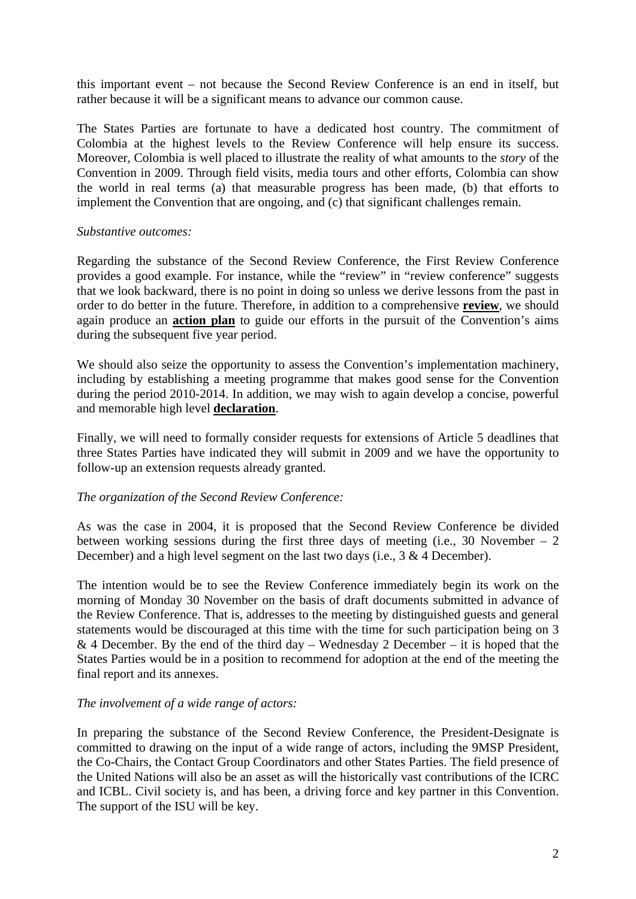this important event – not because the Second Review Conference is an end in itself, but rather because it will be a significant means to advance our common cause.

The States Parties are fortunate to have a dedicated host country. The commitment of Colombia at the highest levels to the Review Conference will help ensure its success. Moreover, Colombia is well placed to illustrate the reality of what amounts to the *story* of the Convention in 2009. Through field visits, media tours and other efforts, Colombia can show the world in real terms (a) that measurable progress has been made, (b) that efforts to implement the Convention that are ongoing, and (c) that significant challenges remain.

#### *Substantive outcomes:*

Regarding the substance of the Second Review Conference, the First Review Conference provides a good example. For instance, while the "review" in "review conference" suggests that we look backward, there is no point in doing so unless we derive lessons from the past in order to do better in the future. Therefore, in addition to a comprehensive **review**, we should again produce an **action plan** to guide our efforts in the pursuit of the Convention's aims during the subsequent five year period.

We should also seize the opportunity to assess the Convention's implementation machinery, including by establishing a meeting programme that makes good sense for the Convention during the period 2010-2014. In addition, we may wish to again develop a concise, powerful and memorable high level **declaration**.

Finally, we will need to formally consider requests for extensions of Article 5 deadlines that three States Parties have indicated they will submit in 2009 and we have the opportunity to follow-up an extension requests already granted.

#### *The organization of the Second Review Conference:*

As was the case in 2004, it is proposed that the Second Review Conference be divided between working sessions during the first three days of meeting (i.e., 30 November  $-2$ December) and a high level segment on the last two days (i.e., 3 & 4 December).

The intention would be to see the Review Conference immediately begin its work on the morning of Monday 30 November on the basis of draft documents submitted in advance of the Review Conference. That is, addresses to the meeting by distinguished guests and general statements would be discouraged at this time with the time for such participation being on 3 & 4 December. By the end of the third day – Wednesday 2 December – it is hoped that the States Parties would be in a position to recommend for adoption at the end of the meeting the final report and its annexes.

#### *The involvement of a wide range of actors:*

In preparing the substance of the Second Review Conference, the President-Designate is committed to drawing on the input of a wide range of actors, including the 9MSP President, the Co-Chairs, the Contact Group Coordinators and other States Parties. The field presence of the United Nations will also be an asset as will the historically vast contributions of the ICRC and ICBL. Civil society is, and has been, a driving force and key partner in this Convention. The support of the ISU will be key.